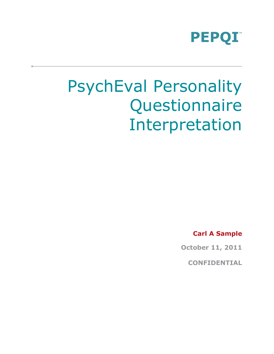

# PsychEval Personality **Questionnaire** Interpretation

**Carl A Sample**

**October 11, 2011**

**CONFIDENTIAL**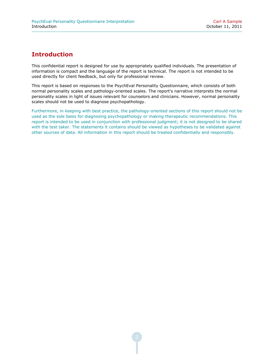## **Introduction**

This confidential report is designed for use by appropriately qualified individuals. The presentation of information is compact and the language of the report is technical. The report is not intended to be used directly for client feedback, but only for professional review.

This report is based on responses to the PsychEval Personality Questionnaire, which consists of both normal personality scales and pathology-oriented scales. The report's narrative interprets the normal personality scales in light of issues relevant for counselors and clinicians. However, normal personality scales should not be used to diagnose psychopathology.

Furthermore, in keeping with best practice, the pathology-oriented sections of this report should not be used as the sole basis for diagnosing psychopathology or making therapeutic recommendations. This report is intended to be used in conjunction with professional judgment; it is not designed to be shared with the test taker. The statements it contains should be viewed as hypotheses to be validated against other sources of data. All information in this report should be treated confidentially and responsibly.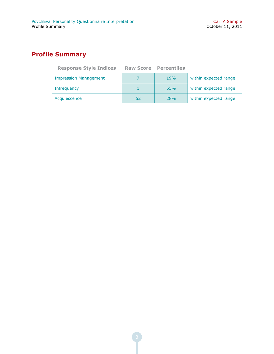# **Profile Summary**

| <b>Response Style Indices</b> |    | <b>Raw Score Percentiles</b> |                       |
|-------------------------------|----|------------------------------|-----------------------|
| <b>Impression Management</b>  |    | 19%                          | within expected range |
| Infrequency                   |    | 55%                          | within expected range |
| Acquiescence                  | 52 | 28%                          | within expected range |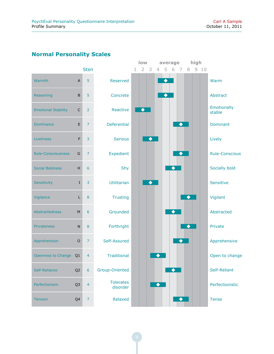# **Normal Personality Scales**

|                            |                |                  |                              |   | low             |                | average         |   |                 |   | high   |                       |
|----------------------------|----------------|------------------|------------------------------|---|-----------------|----------------|-----------------|---|-----------------|---|--------|-----------------------|
|                            |                | <b>Sten</b>      |                              | 1 | 2 <sub>3</sub>  | $\overline{4}$ | 5               | 6 | - 7             |   | 8 9 10 |                       |
| Warmth                     | A              | 5                | Reserved                     |   |                 |                | ◆               |   |                 |   |        | Warm                  |
| Reasoning                  | $\sf B$        | 5                | Concrete                     |   |                 |                | $\blacklozenge$ |   |                 |   |        | Abstract              |
| <b>Emotional Stability</b> | $\mathsf{C}$   | $\overline{2}$   | Reactive                     |   | $\blacklozenge$ |                |                 |   |                 |   |        | Emotionally<br>stable |
| <b>Dominance</b>           | E              | $\overline{7}$   | <b>Deferential</b>           |   |                 |                |                 |   | $\blacklozenge$ |   |        | Dominant              |
| Liveliness                 | F              | $\overline{3}$   | <b>Serious</b>               |   | ♦               |                |                 |   |                 |   |        | Lively                |
| <b>Rule-Consciousness</b>  | G              | $\overline{7}$   | Expedient                    |   |                 |                |                 |   | ◆               |   |        | <b>Rule-Conscious</b> |
| <b>Social Boldness</b>     | H              | 6                | Shy                          |   |                 |                |                 |   |                 |   |        | Socially bold         |
| Sensitivity                | I              | 3                | <b>Utilitarian</b>           |   | ◆               |                |                 |   |                 |   |        | Sensitive             |
| Vigilance                  | Г              | $\bf 8$          | <b>Trusting</b>              |   |                 |                |                 |   |                 |   |        | Vigilant              |
| Abstractedness             | ${\sf M}$      | 6                | Grounded                     |   |                 |                |                 | ♦ |                 |   |        | Abstracted            |
| <b>Privateness</b>         | $\mathsf{N}$   | 8                | Forthright                   |   |                 |                |                 |   |                 | ◆ |        | Private               |
| Apprehension               | $\mathsf O$    | $\overline{7}$   | Self-Assured                 |   |                 |                |                 |   | $\blacklozenge$ |   |        | Apprehensive          |
| <b>Openness to Change</b>  | Q <sub>1</sub> | $\overline{4}$   | <b>Traditional</b>           |   |                 |                |                 |   |                 |   |        | Open to change        |
| Self-Reliance              | Q <sub>2</sub> | $\boldsymbol{6}$ | Group-Oriented               |   |                 |                |                 | ♦ |                 |   |        | Self-Reliant          |
| Perfectionism              | Q <sub>3</sub> | $\overline{4}$   | <b>Tolerates</b><br>disorder |   |                 | $\bullet$      |                 |   |                 |   |        | Perfectionistic       |
| <b>Tension</b>             | Q4             | $\overline{7}$   | Relaxed                      |   |                 |                |                 |   | ◆               |   |        | <b>Tense</b>          |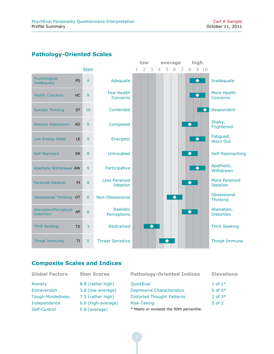#### **Pathology-Oriented Scales**



#### **Composite Scales and Indices**

| <b>Global Factors</b>   | <b>Sten Scores</b> | <b>Pathology-Oriented Indices</b>       | <b>Elevations</b> |
|-------------------------|--------------------|-----------------------------------------|-------------------|
| Anxiety                 | 8.8 (rather high)  | <b>QuickEval</b>                        | 1 of $1^*$        |
| Extraversion            | 3.8 (low-average)  | <b>Depressive Characteristics</b>       | 6 of $6*$         |
| <b>Tough-Mindedness</b> | 7.5 (rather high)  | <b>Distorted Thought Patterns</b>       | 2 of $3*$         |
| Independence            | 6.6 (high-average) | Risk-Taking                             | $0$ of $2$        |
| Self-Control            | 5.8 (average)      | * Meets or exceeds the 90th percentile. |                   |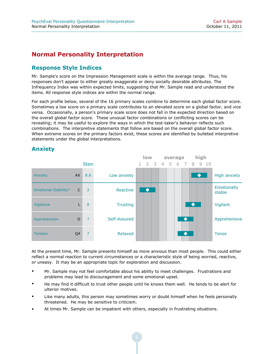## **Normal Personality Interpretation**

#### **Response Style Indices**

Mr. Sample's score on the Impression Management scale is within the average range. Thus, his responses don't appear to either greatly exaggerate or deny socially desirable attributes. The Infrequency Index was within expected limits, suggesting that Mr. Sample read and understood the items. All response style indices are within the normal range.

For each profile below, several of the 16 primary scales combine to determine each global factor score. Sometimes a low score on a primary scale contributes to an elevated score on a global factor, and vice versa. Occasionally, a person's primary scale score does not fall in the expected direction based on the overall global factor score. These unusual factor combinations or conflicting scores can be revealing; it may be useful to explore the ways in which the test-taker's behavior reflects such combinations. The interpretive statements that follow are based on the overall global factor score. When extreme scores on the primary factors exist, these scores are identified by bulleted interpretive statements under the global interpretations.



#### **Anxiety**

At the present time, Mr. Sample presents himself as more anxious than most people. This could either reflect a normal reaction to current circumstances or a characteristic style of being worried, reactive, or uneasy. It may be an appropriate topic for exploration and discussion.

- Mr. Sample may not feel comfortable about his ability to meet challenges. Frustrations and problems may lead to discouragement and some emotional upset.
- He may find it difficult to trust other people until he knows them well. He tends to be alert for ulterior motives.
- Like many adults, this person may sometimes worry or doubt himself when he feels personally threatened. He may be sensitive to criticism.
- At times Mr. Sample can be impatient with others, especially in frustrating situations.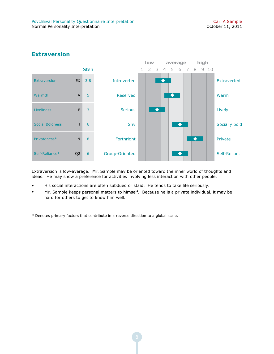

#### **Extraversion**

Extraversion is low-average. Mr. Sample may be oriented toward the inner world of thoughts and ideas. He may show a preference for activities involving less interaction with other people.

- His social interactions are often subdued or staid. He tends to take life seriously.
- Mr. Sample keeps personal matters to himself. Because he is a private individual, it may be hard for others to get to know him well.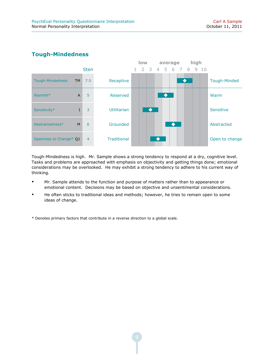#### **Tough-Mindedness**



Tough-Mindedness is high. Mr. Sample shows a strong tendency to respond at a dry, cognitive level. Tasks and problems are approached with emphasis on objectivity and getting things done; emotional considerations may be overlooked. He may exhibit a strong tendency to adhere to his current way of thinking.

- Mr. Sample attends to the function and purpose of matters rather than to appearance or emotional content. Decisions may be based on objective and unsentimental considerations.
- He often sticks to traditional ideas and methods; however, he tries to remain open to some ideas of change.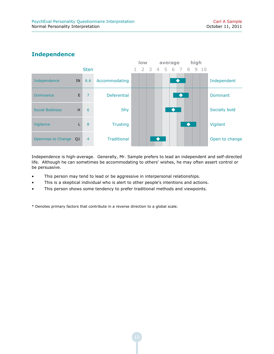## **Independence**



Independence is high-average. Generally, Mr. Sample prefers to lead an independent and self-directed life. Although he can sometimes be accommodating to others' wishes, he may often assert control or be persuasive.

- This person may tend to lead or be aggressive in interpersonal relationships.
- This is a skeptical individual who is alert to other people's intentions and actions.
- This person shows some tendency to prefer traditional methods and viewpoints.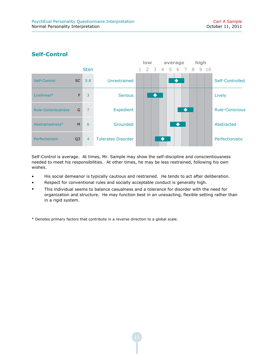

#### **Self-Control**

Self-Control is average. At times, Mr. Sample may show the self-discipline and conscientiousness needed to meet his responsibilities. At other times, he may be less restrained, following his own wishes.

- His social demeanor is typically cautious and restrained. He tends to act after deliberation.
- Respect for conventional rules and socially acceptable conduct is generally high.
- This individual seems to balance casualness and a tolerance for disorder with the need for organization and structure. He may function best in an unexacting, flexible setting rather than in a rigid system.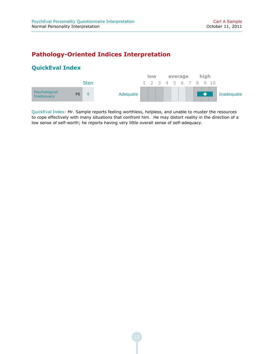## **Pathology-Oriented Indices Interpretation**

## **QuickEval Index**



QuickEval Index: Mr. Sample reports feeling worthless, helpless, and unable to muster the resources to cope effectively with many situations that confront him. He may distort reality in the direction of a low sense of self-worth; he reports having very little overall sense of self-adequacy.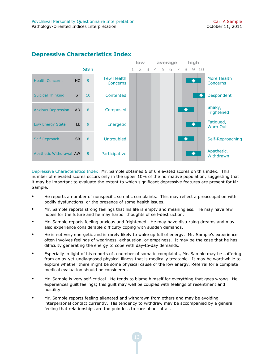

#### **Depressive Characteristics Index**

Depressive Characteristics Index: Mr. Sample obtained 6 of 6 elevated scores on this index. This number of elevated scores occurs only in the upper 10% of the normative population, suggesting that it may be important to evaluate the extent to which significant depressive features are present for Mr. Sample.

- He reports a number of nonspecific somatic complaints. This may reflect a preoccupation with bodily dysfunctions, or the presence of some health issues.
- Mr. Sample reports strong feelings that his life is empty and meaningless. He may have few hopes for the future and he may harbor thoughts of self-destruction.
- Mr. Sample reports feeling anxious and frightened. He may have disturbing dreams and may also experience considerable difficulty coping with sudden demands.
- He is not very energetic and is rarely likely to wake up full of energy. Mr. Sample's experience often involves feelings of weariness, exhaustion, or emptiness. It may be the case that he has difficulty generating the energy to cope with day-to-day demands.
- Especially in light of his reports of a number of somatic complaints, Mr. Sample may be suffering from an as-yet-undiagnosed physical illness that is medically treatable. It may be worthwhile to explore whether there might be some physical cause of the low energy. Referral for a complete medical evaluation should be considered.
- Mr. Sample is very self-critical. He tends to blame himself for everything that goes wrong. He experiences guilt feelings; this guilt may well be coupled with feelings of resentment and hostility.
- Mr. Sample reports feeling alienated and withdrawn from others and may be avoiding interpersonal contact currently. His tendency to withdraw may be accompanied by a general feeling that relationships are too pointless to care about at all.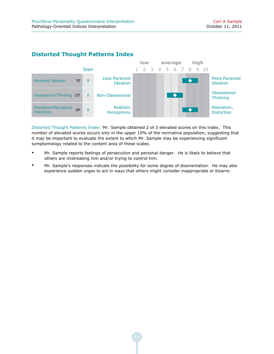

#### **Distorted Thought Patterns Index**

Distorted Thought Patterns Index: Mr. Sample obtained 2 of 3 elevated scores on this index. This number of elevated scores occurs only in the upper 10% of the normative population, suggesting that it may be important to evaluate the extent to which Mr. Sample may be experiencing significant symptomology related to the content area of these scales.

- Mr. Sample reports feelings of persecution and personal danger. He is likely to believe that others are mistreating him and/or trying to control him.
- Mr. Sample's responses indicate the possibility for some degree of disorientation. He may also experience sudden urges to act in ways that others might consider inappropriate or bizarre.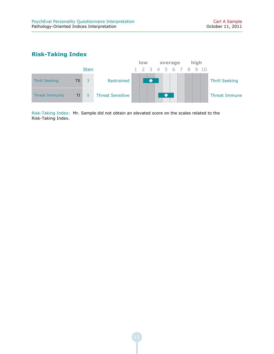#### **Risk-Taking Index**



Risk-Taking Index: Mr. Sample did not obtain an elevated score on the scales related to the Risk-Taking Index.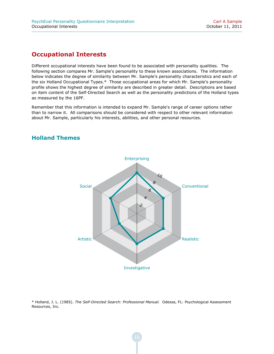#### **Occupational Interests**

Different occupational interests have been found to be associated with personality qualities. The following section compares Mr. Sample's personality to these known associations. The information below indicates the degree of similarity between Mr. Sample's personality characteristics and each of the six Holland Occupational Types.\* Those occupational areas for which Mr. Sample's personality profile shows the highest degree of similarity are described in greater detail. Descriptions are based on item content of the Self-Directed Search as well as the personality predictions of the Holland types as measured by the 16PF.

Remember that this information is intended to expand Mr. Sample's range of career options rather than to narrow it. All comparisons should be considered with respect to other relevant information about Mr. Sample, particularly his interests, abilities, and other personal resources.

#### **Holland Themes**



\* Holland, J. L. (1985). *The Self-Directed Search: Professional Manual.* Odessa, FL: Psychological Assessment Resources, Inc.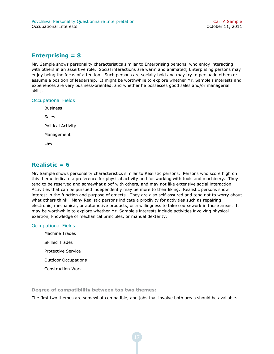#### **Enterprising = 8**

Mr. Sample shows personality characteristics similar to Enterprising persons, who enjoy interacting with others in an assertive role. Social interactions are warm and animated; Enterprising persons may enjoy being the focus of attention. Such persons are socially bold and may try to persuade others or assume a position of leadership. It might be worthwhile to explore whether Mr. Sample's interests and experiences are very business-oriented, and whether he possesses good sales and/or managerial skills.

#### Occupational Fields:

Business Sales Political Activity Management Law

#### **Realistic = 6**

Mr. Sample shows personality characteristics similar to Realistic persons. Persons who score high on this theme indicate a preference for physical activity and for working with tools and machinery. They tend to be reserved and somewhat aloof with others, and may not like extensive social interaction. Activities that can be pursued independently may be more to their liking. Realistic persons show interest in the function and purpose of objects. They are also self-assured and tend not to worry about what others think. Many Realistic persons indicate a proclivity for activities such as repairing electronic, mechanical, or automotive products, or a willingness to take coursework in those areas. It may be worthwhile to explore whether Mr. Sample's interests include activities involving physical exertion, knowledge of mechanical principles, or manual dexterity.

#### Occupational Fields:

Machine Trades Skilled Trades Protective Service Outdoor Occupations Construction Work

**Degree of compatibility between top two themes:**

The first two themes are somewhat compatible, and jobs that involve both areas should be available.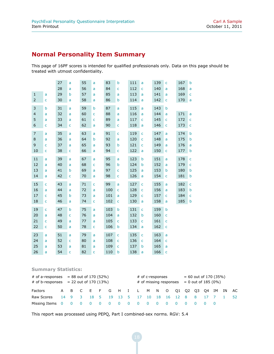# **Normal Personality Item Summary**

This page of 16PF scores is intended for qualified professionals only. Data on this page should be treated with utmost confidentiality.

|                |              | 27 | a            | 55 | a              | 83  | b            | 111 | a            | 139 | $\mathsf{C}$ | 167 | b           |
|----------------|--------------|----|--------------|----|----------------|-----|--------------|-----|--------------|-----|--------------|-----|-------------|
|                |              | 28 | a            | 56 | a              | 84  | Ċ            | 112 | $\mathsf{C}$ | 140 | a            | 168 | a           |
| $\mathbf{1}$   | a            | 29 | b            | 57 | a              | 85  | a            | 113 | a            | 141 | a            | 169 | C           |
| $\overline{2}$ | C            | 30 | a            | 58 | a              | 86  | b            | 114 | a            | 142 | $\mathsf{C}$ | 170 | a           |
| 3              | b            | 31 | a            | 59 | $\mathsf b$    | 87  | a            | 115 | a            | 143 | b            |     |             |
| $\overline{4}$ | a            | 32 | a            | 60 | $\mathsf{C}$   | 88  | a            | 116 | a            | 144 | a            | 171 | a           |
| 5              | a            | 33 | a            | 61 | $\mathsf{C}$   | 89  | a            | 117 | $\mathsf{C}$ | 145 | $\mathsf{C}$ | 172 | $\mathsf C$ |
| 6              | C            | 34 | $\mathsf C$  | 62 | a              | 90  | C            | 118 | a            | 146 | $\mathsf{C}$ | 173 | C           |
| $\overline{7}$ | a            | 35 | a            | 63 | a              | 91  | $\mathsf{C}$ | 119 | $\mathsf{C}$ | 147 | a            | 174 | $\mathsf b$ |
| 8              | a            | 36 | a            | 64 | b              | 92  | a            | 120 | $\mathsf{C}$ | 148 | a            | 175 | b           |
| 9              | C            | 37 | a            | 65 | a              | 93  | b            | 121 | $\mathsf{C}$ | 149 | a            | 176 | a           |
| 10             | C            | 38 | $\mathsf{C}$ | 66 | a              | 94  | C            | 122 | a            | 150 | $\mathsf{C}$ | 177 | b           |
| 11             | a            | 39 | a            | 67 | a              | 95  | a            | 123 | $\mathsf b$  | 151 | a            | 178 | Ċ           |
| 12             | a            | 40 | a            | 68 | $\overline{C}$ | 96  | b            | 124 | b            | 152 | a            | 179 | Ċ           |
| 13             | a            | 41 | b            | 69 | a              | 97  | C            | 125 | a            | 153 | b            | 180 | b           |
| 14             | a            | 42 | $\mathsf{C}$ | 70 | a              | 98  | C            | 126 | a            | 154 | $\mathsf{C}$ | 181 | b           |
| 15             | Ċ            | 43 | a            | 71 | $\overline{C}$ | 99  | a            | 127 | $\mathsf{C}$ | 155 | a            | 182 | C           |
| 16             | a            | 44 | a            | 72 | a              | 100 | Ċ            | 128 | $\mathsf{C}$ | 156 | a            | 183 | b           |
| 17             | C            | 45 | b            | 73 | a              | 101 | a            | 129 | $\mathsf{C}$ | 157 | $\mathsf{C}$ | 184 | C           |
| 18             | $\mathsf{C}$ | 46 | a            | 74 | $\mathsf{C}$   | 102 | C            | 130 | a            | 158 | a            | 185 | b           |
| 19             | Ċ            | 47 | b            | 75 | a              | 103 | b            | 131 | $\mathsf{C}$ | 159 | $\mathsf b$  |     |             |
| 20             | a            | 48 | $\mathsf{C}$ | 76 | a              | 104 | a            | 132 | b            | 160 | c            |     |             |
| 21             | C            | 49 | a            | 77 | a              | 105 | C            | 133 | $\mathsf{C}$ | 161 | $\mathsf{C}$ |     |             |
| 22             | C            | 50 | a            | 78 | $\mathsf{C}$   | 106 | b            | 134 | a            | 162 | $\mathsf{C}$ |     |             |
| 23             | a            | 51 | a            | 79 | a              | 107 | Ċ            | 135 | $\mathsf{C}$ | 163 | a            |     |             |
| 24             | a            | 52 | $\mathsf{C}$ | 80 | a              | 108 | $\mathsf{C}$ | 136 | $\mathsf{C}$ | 164 | $\mathsf{C}$ |     |             |
| 25             | a            | 53 | a            | 81 | a              | 109 | Ċ            | 137 | b            | 165 | a            |     |             |
| 26             | a            | 54 | $\mathsf{C}$ | 82 | $\overline{C}$ | 110 | b            | 138 | a            | 166 | $\mathsf{C}$ |     |             |

#### **Summary Statistics:**

| # of a-responses $= 88$ out of 170 (52%)<br># of b-responses $= 22$ out of 170 (13%) |  |  |  |  |  |  |  | # of c-responses<br># of missing responses $= 0$ out of 185 (0%) |  |  |  | $= 60$ out of 170 (35%) |  |  |  |  |  |      |
|--------------------------------------------------------------------------------------|--|--|--|--|--|--|--|------------------------------------------------------------------|--|--|--|-------------------------|--|--|--|--|--|------|
| Factors                                                                              |  |  |  |  |  |  |  | A B C E F G H I L M N O Q1 Q2 Q3 Q4 IM IN                        |  |  |  |                         |  |  |  |  |  | - AC |
| Raw Scores                                                                           |  |  |  |  |  |  |  | 14 9 3 18 5 19 13 5 17 10 18 16 12 8 8 17 7 1                    |  |  |  |                         |  |  |  |  |  | -52  |
| Missing Items 0 0                                                                    |  |  |  |  |  |  |  | 0000000000                                                       |  |  |  |                         |  |  |  |  |  |      |

This report was processed using PEPQ, Part I combined-sex norms. RGV: 5.4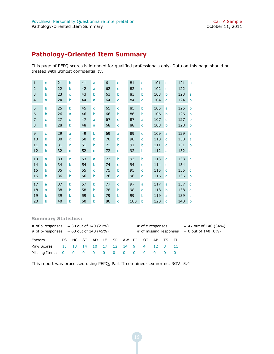# **Pathology-Oriented Item Summary**

This page of PEPQ scores is intended for qualified professionals only. Data on this page should be treated with utmost confidentiality.

| $\mathbf{1}$   | c | 21 | b | 41 | a           | 61 | C | 81  | c            | 101 | C | 121 | b |
|----------------|---|----|---|----|-------------|----|---|-----|--------------|-----|---|-----|---|
| 2              | b | 22 | b | 42 | a           | 62 | c | 82  | c            | 102 | c | 122 | c |
| 3              | b | 23 | C | 43 | b           | 63 | b | 83  | b            | 103 | b | 123 | a |
| $\overline{4}$ | a | 24 | b | 44 | a           | 64 | c | 84  | C            | 104 | C | 124 | b |
| 5              | b | 25 | b | 45 | C           | 65 | c | 85  | b            | 105 | a | 125 | b |
| 6              | b | 26 | a | 46 | b           | 66 | b | 86  | b            | 106 | b | 126 | b |
| $\overline{7}$ | Ċ | 27 | C | 47 | a           | 67 | C | 87  | a            | 107 | C | 127 | b |
| 8              | b | 28 | b | 48 | a           | 68 | c | 88  | C            | 108 | b | 128 | b |
| 9              | C | 29 | a | 49 | $\mathbf b$ | 69 | a | 89  | C            | 109 | a | 129 | a |
| 10             | b | 30 | C | 50 | b           | 70 | b | 90  | C            | 110 | c | 130 | a |
| 11             | a | 31 | c | 51 | b           | 71 | b | 91  | b            | 111 | c | 131 | b |
|                |   |    |   |    |             |    |   |     |              |     |   |     |   |
| 12             | b | 32 | c | 52 | C           | 72 | c | 92  | b            | 112 | a | 132 | a |
| 13             | a | 33 | c | 53 | a           | 73 | b | 93  | b            | 113 | C | 133 | a |
| 14             | b | 34 | b | 54 | b           | 74 | c | 94  | c            | 114 | c | 134 | c |
| 15             | b | 35 | c | 55 | C           | 75 | b | 95  | $\mathsf{C}$ | 115 | c | 135 | C |
| 16             | b | 36 | b | 56 | b           | 76 | c | 96  | a            | 116 | a | 136 | b |
| 17             | a | 37 | b | 57 | b           | 77 | c | 97  | a            | 117 | a | 137 | C |
| 18             | a | 38 | b | 58 | b           | 78 | b | 98  | a            | 118 | b | 138 | a |
| 19             | b | 39 | b | 59 | b           | 79 | b | 99  | b            | 119 | a | 139 | c |
| 20             | b | 40 | b | 60 | b           | 80 | c | 100 | b            | 120 | C | 140 | b |

#### **Summary Statistics:**

| # of a-responses $=$ 30 out of 140 (21%)<br># of b-responses $= 63$ out of 140 (45%) |  |  |                                     |  |  | # of c-responses<br># of missing responses |  |  |  |  | $= 47$ out of 140 (34%)<br>$= 0$ out of 140 (0%) |  |
|--------------------------------------------------------------------------------------|--|--|-------------------------------------|--|--|--------------------------------------------|--|--|--|--|--------------------------------------------------|--|
| Factors                                                                              |  |  | PS HC ST AD LE SR AW PI OT AP TS TI |  |  |                                            |  |  |  |  |                                                  |  |
| Raw Scores                                                                           |  |  | 15 13 14 10 17 12 14 9 4 12 3 11    |  |  |                                            |  |  |  |  |                                                  |  |
|                                                                                      |  |  |                                     |  |  |                                            |  |  |  |  |                                                  |  |

This report was processed using PEPQ, Part II combined-sex norms. RGV: 5.4